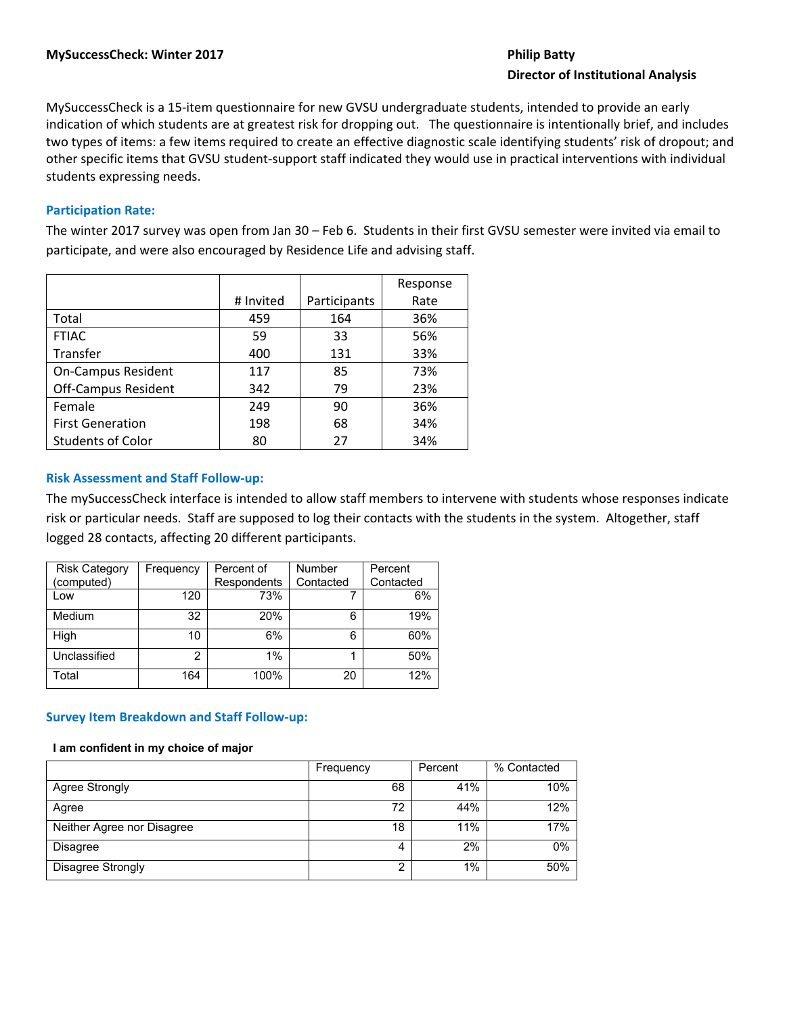# **Director of Institutional Analysis**

MySuccessCheck is a 15‐item questionnaire for new GVSU undergraduate students, intended to provide an early indication of which students are at greatest risk for dropping out. The questionnaire is intentionally brief, and includes two types of items: a few items required to create an effective diagnostic scale identifying students' risk of dropout; and other specific items that GVSU student‐support staff indicated they would use in practical interventions with individual students expressing needs.

# **Participation Rate:**

The winter 2017 survey was open from Jan 30 – Feb 6. Students in their first GVSU semester were invited via email to participate, and were also encouraged by Residence Life and advising staff.

|                            |           |              | Response |
|----------------------------|-----------|--------------|----------|
|                            | # Invited | Participants | Rate     |
| Total                      | 459       | 164          | 36%      |
| <b>FTIAC</b>               | 59        | 33           | 56%      |
| Transfer                   | 400       | 131          | 33%      |
| <b>On-Campus Resident</b>  | 117       | 85           | 73%      |
| <b>Off-Campus Resident</b> | 342       | 79           | 23%      |
| Female                     | 249       | 90           | 36%      |
| <b>First Generation</b>    | 198       | 68           | 34%      |
| <b>Students of Color</b>   | 80        | 27           | 34%      |

# **Risk Assessment and Staff Follow‐up:**

The mySuccessCheck interface is intended to allow staff members to intervene with students whose responses indicate risk or particular needs. Staff are supposed to log their contacts with the students in the system. Altogether, staff logged 28 contacts, affecting 20 different participants.

| <b>Risk Category</b> | Frequency | Percent of  | Number    | Percent   |
|----------------------|-----------|-------------|-----------|-----------|
| (computed)           |           | Respondents | Contacted | Contacted |
| Low                  | 120       | 73%         |           | 6%        |
| Medium               | 32        | 20%         | 6         | 19%       |
| High                 | 10        | 6%          | 6         | 60%       |
| Unclassified         | 2         | 1%          |           | 50%       |
| Total                | 164       | 100%        | 20        | 12%       |

# **Survey Item Breakdown and Staff Follow‐up:**

# **I am confident in my choice of major**

|                            | Frequency | Percent | % Contacted |
|----------------------------|-----------|---------|-------------|
| Agree Strongly             | 68        | 41%     | 10%         |
| Agree                      | 72        | 44%     | 12%         |
| Neither Agree nor Disagree | 18        | 11%     | 17%         |
| Disagree                   | 4         | 2%      | 0%          |
| Disagree Strongly          | 2         | 1%      | 50%         |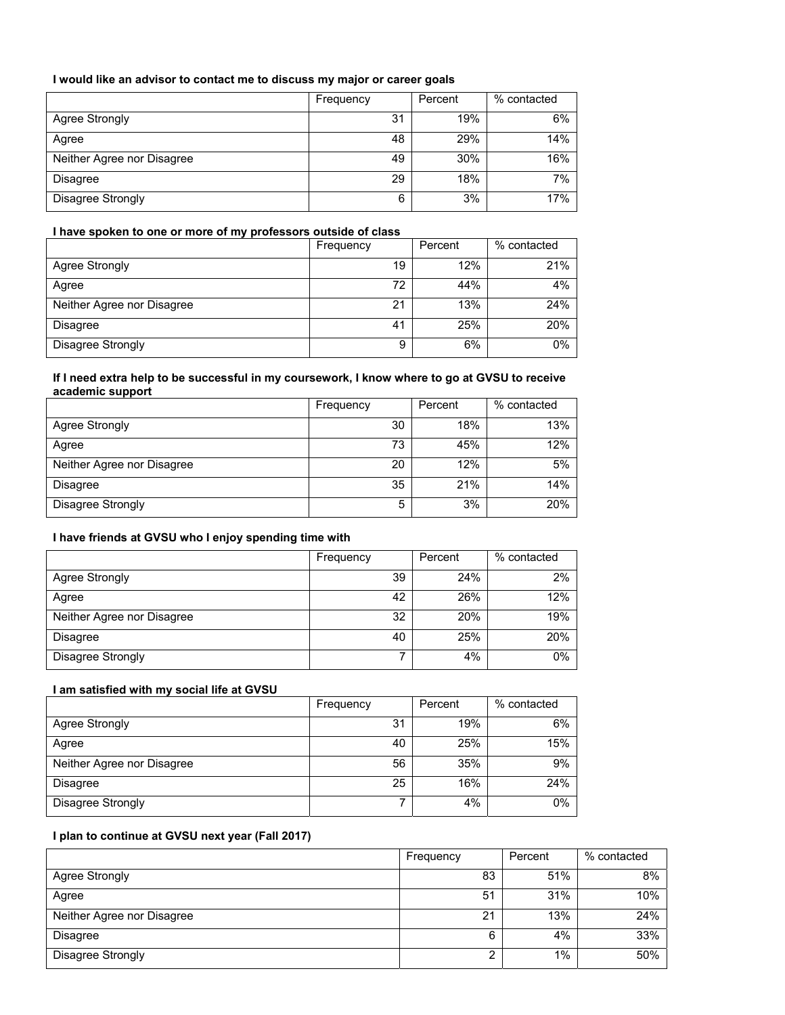# **I would like an advisor to contact me to discuss my major or career goals**

|                            | Frequency | Percent | % contacted |
|----------------------------|-----------|---------|-------------|
| Agree Strongly             | 31        | 19%     | 6%          |
| Agree                      | 48        | 29%     | 14%         |
| Neither Agree nor Disagree | 49        | 30%     | 16%         |
| <b>Disagree</b>            | 29        | 18%     | 7%          |
| Disagree Strongly          | 6         | 3%      | 17%         |

### **I have spoken to one or more of my professors outside of class**

|                            | Frequency | Percent | % contacted |
|----------------------------|-----------|---------|-------------|
| Agree Strongly             | 19        | 12%     | 21%         |
| Agree                      | 72        | 44%     | 4%          |
| Neither Agree nor Disagree | 21        | 13%     | 24%         |
| <b>Disagree</b>            | 41        | 25%     | 20%         |
| Disagree Strongly          | 9         | 6%      | 0%          |

# **If I need extra help to be successful in my coursework, I know where to go at GVSU to receive academic support**

|                            | Frequency | Percent | % contacted |
|----------------------------|-----------|---------|-------------|
| Agree Strongly             | 30        | 18%     | 13%         |
| Agree                      | 73        | 45%     | 12%         |
| Neither Agree nor Disagree | 20        | 12%     | 5%          |
| <b>Disagree</b>            | 35        | 21%     | 14%         |
| Disagree Strongly          | 5         | 3%      | 20%         |

# **I have friends at GVSU who I enjoy spending time with**

|                            | Frequency | Percent | % contacted |
|----------------------------|-----------|---------|-------------|
| Agree Strongly             | 39        | 24%     | 2%          |
| Agree                      | 42        | 26%     | 12%         |
| Neither Agree nor Disagree | 32        | 20%     | 19%         |
| <b>Disagree</b>            | 40        | 25%     | 20%         |
| Disagree Strongly          | ⇁         | 4%      | 0%          |

# **I am satisfied with my social life at GVSU**

|                            | Frequency | Percent | % contacted |
|----------------------------|-----------|---------|-------------|
| Agree Strongly             | 31        | 19%     | 6%          |
| Agree                      | 40        | 25%     | 15%         |
| Neither Agree nor Disagree | 56        | 35%     | 9%          |
| Disagree                   | 25        | 16%     | 24%         |
| Disagree Strongly          | ⇁         | 4%      | 0%          |

# **I plan to continue at GVSU next year (Fall 2017)**

|                            | Frequency | Percent | % contacted |
|----------------------------|-----------|---------|-------------|
| Agree Strongly             | 83        | 51%     | 8%          |
| Agree                      | 51        | 31%     | 10%         |
| Neither Agree nor Disagree | 21        | 13%     | 24%         |
| <b>Disagree</b>            | 6         | 4%      | 33%         |
| Disagree Strongly          | ◠         | 1%      | 50%         |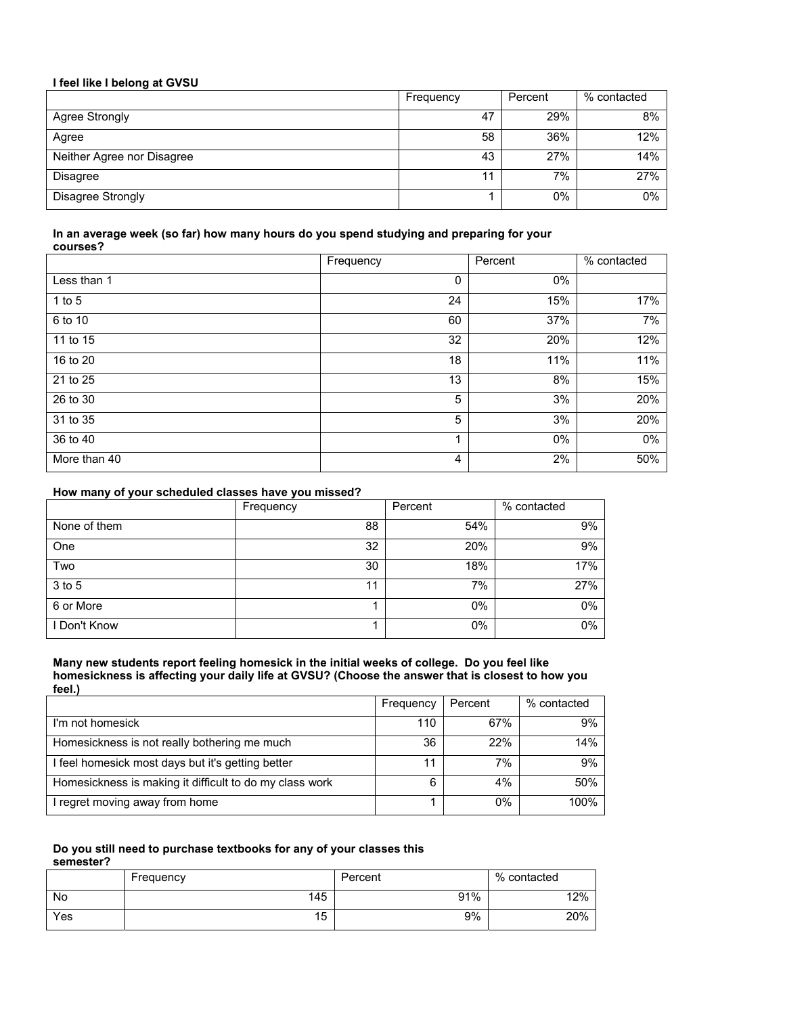| I feel like I belong at GVSU |           |         |             |  |
|------------------------------|-----------|---------|-------------|--|
|                              | Frequency | Percent | % contacted |  |
| Agree Strongly               | 47        | 29%     | 8%          |  |
| Agree                        | 58        | 36%     | 12%         |  |
| Neither Agree nor Disagree   | 43        | 27%     | 14%         |  |
| <b>Disagree</b>              | 11        | 7%      | 27%         |  |
| Disagree Strongly            |           | 0%      | 0%          |  |

### **In an average week (so far) how many hours do you spend studying and preparing for your courses?**

|              | Frequency | Percent | % contacted |
|--------------|-----------|---------|-------------|
| Less than 1  | 0         | 0%      |             |
| 1 to $5$     | 24        | 15%     | 17%         |
| 6 to 10      | 60        | 37%     | 7%          |
| 11 to 15     | 32        | 20%     | 12%         |
| 16 to 20     | 18        | 11%     | 11%         |
| 21 to 25     | 13        | 8%      | 15%         |
| 26 to 30     | 5         | 3%      | 20%         |
| 31 to 35     | 5         | 3%      | 20%         |
| 36 to 40     |           | $0\%$   | 0%          |
| More than 40 | 4         | 2%      | 50%         |

### **How many of your scheduled classes have you missed?**

|              | Frequency | Percent | % contacted |
|--------------|-----------|---------|-------------|
| None of them | 88        | 54%     | 9%          |
| One          | 32        | 20%     | 9%          |
| Two          | 30        | 18%     | 17%         |
| 3 to 5       | 11        | 7%      | 27%         |
| 6 or More    |           | $0\%$   | 0%          |
| I Don't Know |           | 0%      | 0%          |

#### **Many new students report feeling homesick in the initial weeks of college. Do you feel like homesickness is affecting your daily life at GVSU? (Choose the answer that is closest to how you feel.)**

|                                                         | Frequency | Percent | % contacted |
|---------------------------------------------------------|-----------|---------|-------------|
| I'm not homesick                                        | 110       | 67%     | 9%          |
| Homesickness is not really bothering me much            | 36        | 22%     | 14%         |
| I feel homesick most days but it's getting better       | 11        | 7%      | 9%          |
| Homesickness is making it difficult to do my class work | 6         | 4%      | 50%         |
| I regret moving away from home                          |           | 0%      | 100%        |

#### **Do you still need to purchase textbooks for any of your classes this semester?**

|     | Frequency | Percent | % contacted |
|-----|-----------|---------|-------------|
| No  | 145       | 91%     | 12%         |
| Yes | 15        | 9%      | 20%         |